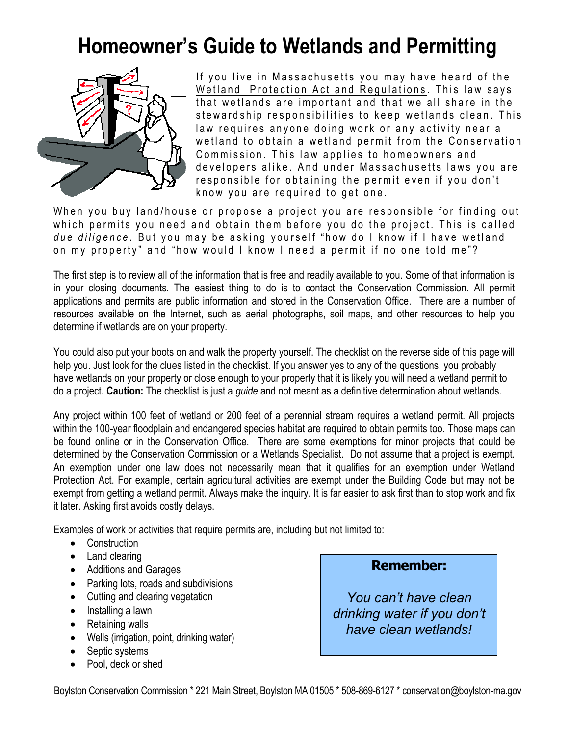## **Homeowner's Guide to Wetlands and Permitting**



If you live in Massachusetts you may have heard of the Wetland Protection Act and Regulations. This law says that wetlands are important and that we all share in the stewardship responsibilities to keep wetlands clean. This law requires anyone doing work or any activity near a wetland to obtain a wetland permit from the Conservation Commission. This law applies to homeowners and developers alike. And under Massachusetts laws you are responsible for obtaining the permit even if you don't know you are required to get one.

When you buy land/house or propose a project you are responsible for finding out which permits you need and obtain them before you do the project. This is called *due diligence*. But you may be asking yourself "how do I know if I have wetland on my property" and "how would I know I need a permit if no one told me"?

The first step is to review all of the information that is free and readily available to you. Some of that information is in your closing documents. The easiest thing to do is to contact the Conservation Commission. All permit applications and permits are public information and stored in the Conservation Office. There are a number of resources available on the Internet, such as aerial photographs, soil maps, and other resources to help you determine if wetlands are on your property.

You could also put your boots on and walk the property yourself. The checklist on the reverse side of this page will help you. Just look for the clues listed in the checklist. If you answer yes to any of the questions, you probably have wetlands on your property or close enough to your property that it is likely you will need a wetland permit to do a project. **Caution:** The checklist is just a *guide* and not meant as a definitive determination about wetlands.

Any project within 100 feet of wetland or 200 feet of a perennial stream requires a wetland permit. All projects within the 100-year floodplain and endangered species habitat are required to obtain permits too. Those maps can be found online or in the Conservation Office. There are some exemptions for minor projects that could be determined by the Conservation Commission or a Wetlands Specialist. Do not assume that a project is exempt. An exemption under one law does not necessarily mean that it qualifies for an exemption under Wetland Protection Act. For example, certain agricultural activities are exempt under the Building Code but may not be exempt from getting a wetland permit. Always make the inquiry. It is far easier to ask first than to stop work and fix it later. Asking first avoids costly delays.

Examples of work or activities that require permits are, including but not limited to:

- Construction
- Land clearing
- Additions and Garages
- Parking lots, roads and subdivisions
- Cutting and clearing vegetation
- Installing a lawn
- Retaining walls
- Wells (irrigation, point, drinking water)
- Septic systems
- Pool, deck or shed

## **Remember:**

*You can't have clean drinking water if you don't have clean wetlands!*

Boylston Conservation Commission \* 221 Main Street, Boylston MA 01505 \* 508-869-6127 \* conservation@boylston-ma.gov